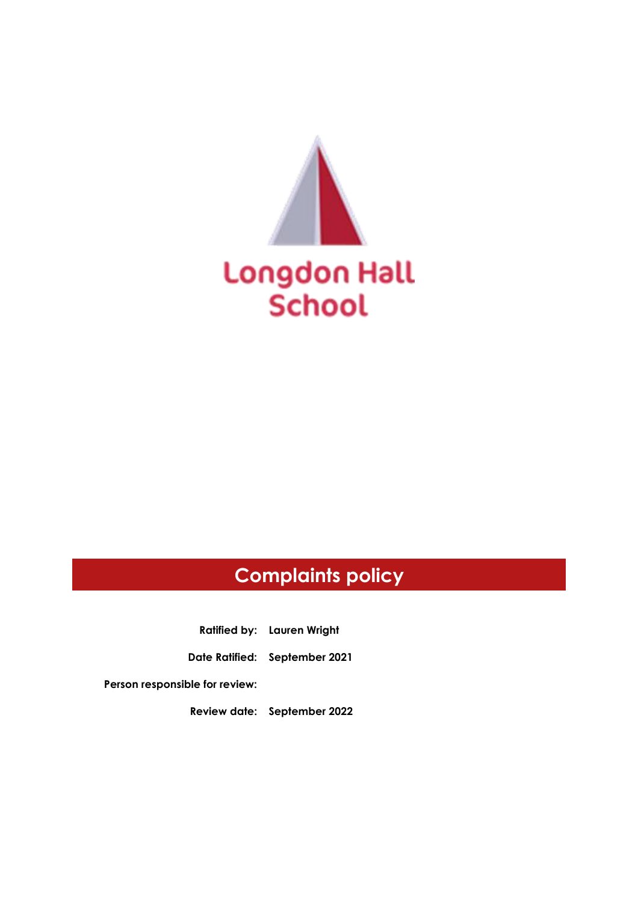

# **Complaints policy**

**Ratified by: Lauren Wright**

**Date Ratified: September 2021**

**Person responsible for review:**

**Review date: September 2022**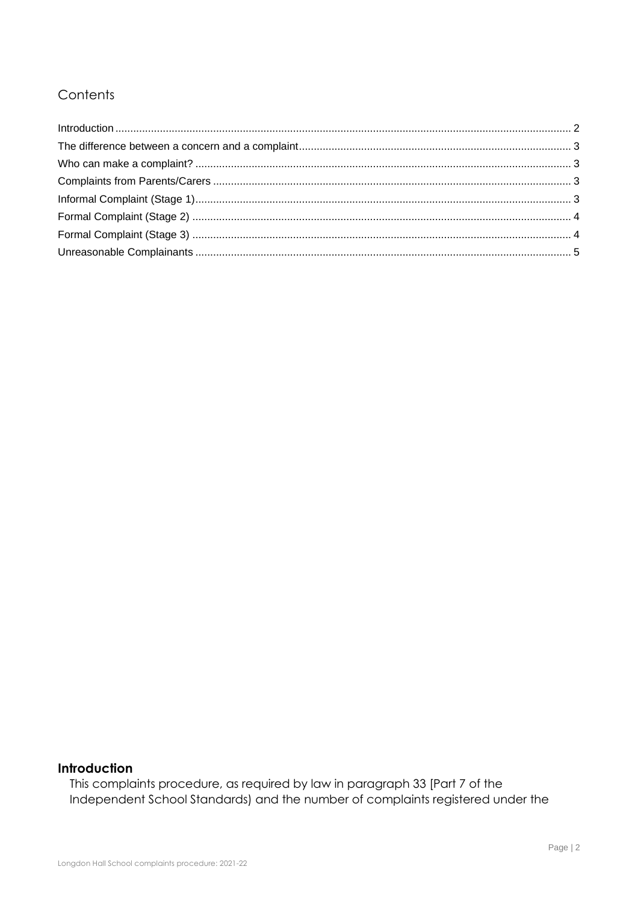## Contents

## <span id="page-1-0"></span>Introduction

This complaints procedure, as required by law in paragraph 33 [Part 7 of the Independent School Standards) and the number of complaints registered under the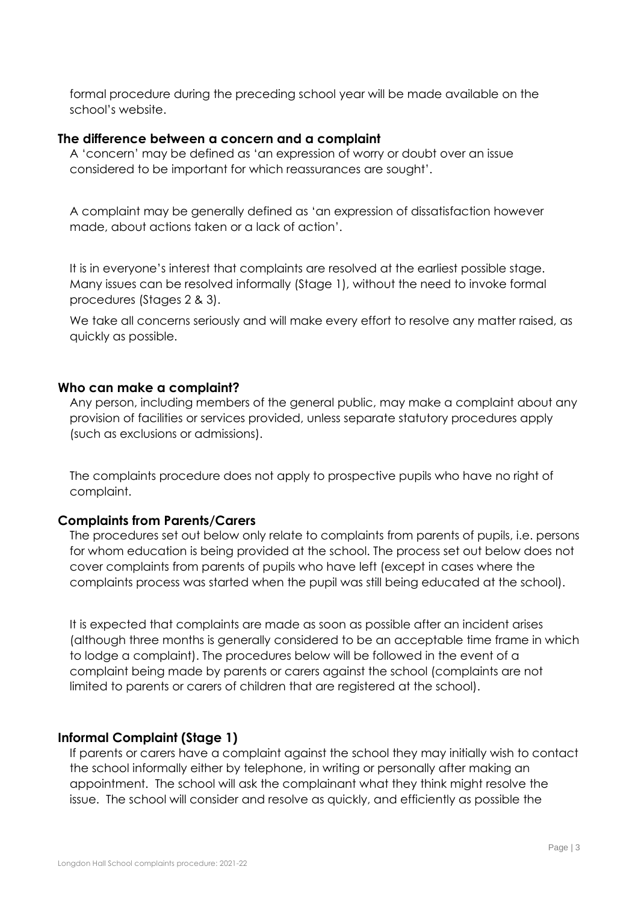formal procedure during the preceding school year will be made available on the school's website.

#### <span id="page-2-0"></span>**The difference between a concern and a complaint**

A 'concern' may be defined as 'an expression of worry or doubt over an issue considered to be important for which reassurances are sought'.

A complaint may be generally defined as 'an expression of dissatisfaction however made, about actions taken or a lack of action'.

It is in everyone's interest that complaints are resolved at the earliest possible stage. Many issues can be resolved informally (Stage 1), without the need to invoke formal procedures (Stages 2 & 3).

We take all concerns seriously and will make every effort to resolve any matter raised, as quickly as possible.

#### <span id="page-2-1"></span>**Who can make a complaint?**

Any person, including members of the general public, may make a complaint about any provision of facilities or services provided, unless separate statutory procedures apply (such as exclusions or admissions).

The complaints procedure does not apply to prospective pupils who have no right of complaint.

#### <span id="page-2-2"></span>**Complaints from Parents/Carers**

The procedures set out below only relate to complaints from parents of pupils, i.e. persons for whom education is being provided at the school. The process set out below does not cover complaints from parents of pupils who have left (except in cases where the complaints process was started when the pupil was still being educated at the school).

It is expected that complaints are made as soon as possible after an incident arises (although three months is generally considered to be an acceptable time frame in which to lodge a complaint). The procedures below will be followed in the event of a complaint being made by parents or carers against the school (complaints are not limited to parents or carers of children that are registered at the school).

#### <span id="page-2-3"></span>**Informal Complaint (Stage 1)**

If parents or carers have a complaint against the school they may initially wish to contact the school informally either by telephone, in writing or personally after making an appointment. The school will ask the complainant what they think might resolve the issue. The school will consider and resolve as quickly, and efficiently as possible the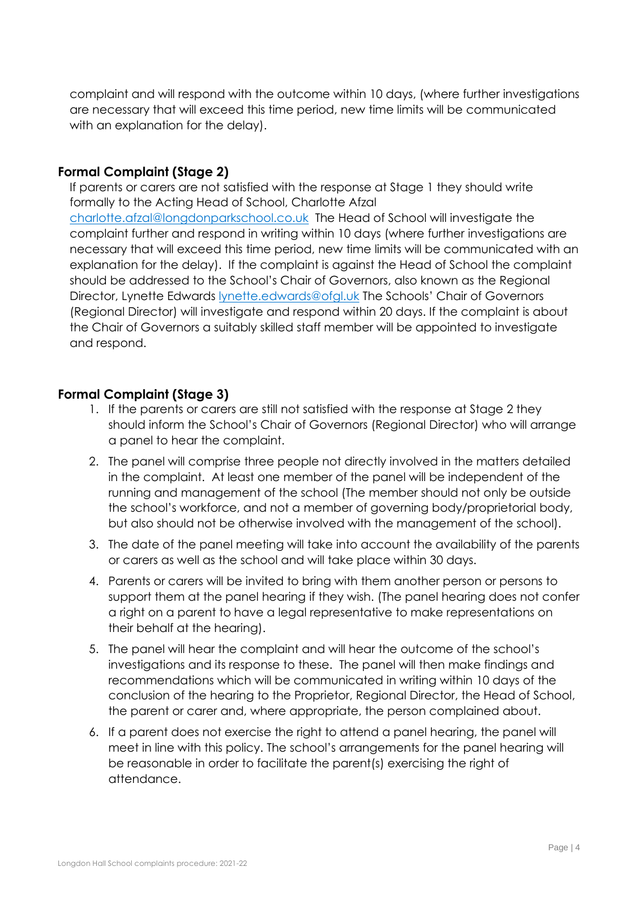complaint and will respond with the outcome within 10 days, (where further investigations are necessary that will exceed this time period, new time limits will be communicated with an explanation for the delay).

### <span id="page-3-0"></span>**Formal Complaint (Stage 2)**

If parents or carers are not satisfied with the response at Stage 1 they should write formally to the Acting Head of School, Charlotte Afzal

[charlotte.afzal@longdonparkschool.co.uk](mailto:charlotte.afzal@longdonparkschool.co.uk) The Head of School will investigate the complaint further and respond in writing within 10 days (where further investigations are necessary that will exceed this time period, new time limits will be communicated with an explanation for the delay). If the complaint is against the Head of School the complaint should be addressed to the School's Chair of Governors, also known as the Regional Director, Lynette Edwards [lynette.edwards@ofgl.uk](mailto:lynette.edwards@ofgl.uk) The Schools' Chair of Governors (Regional Director) will investigate and respond within 20 days. If the complaint is about the Chair of Governors a suitably skilled staff member will be appointed to investigate and respond.

### <span id="page-3-1"></span>**Formal Complaint (Stage 3)**

- 1. If the parents or carers are still not satisfied with the response at Stage 2 they should inform the School's Chair of Governors (Regional Director) who will arrange a panel to hear the complaint.
- 2. The panel will comprise three people not directly involved in the matters detailed in the complaint. At least one member of the panel will be independent of the running and management of the school (The member should not only be outside the school's workforce, and not a member of governing body/proprietorial body, but also should not be otherwise involved with the management of the school).
- 3. The date of the panel meeting will take into account the availability of the parents or carers as well as the school and will take place within 30 days.
- 4. Parents or carers will be invited to bring with them another person or persons to support them at the panel hearing if they wish. (The panel hearing does not confer a right on a parent to have a legal representative to make representations on their behalf at the hearing).
- 5. The panel will hear the complaint and will hear the outcome of the school's investigations and its response to these. The panel will then make findings and recommendations which will be communicated in writing within 10 days of the conclusion of the hearing to the Proprietor, Regional Director, the Head of School, the parent or carer and, where appropriate, the person complained about.
- 6. If a parent does not exercise the right to attend a panel hearing, the panel will meet in line with this policy. The school's arrangements for the panel hearing will be reasonable in order to facilitate the parent(s) exercising the right of attendance.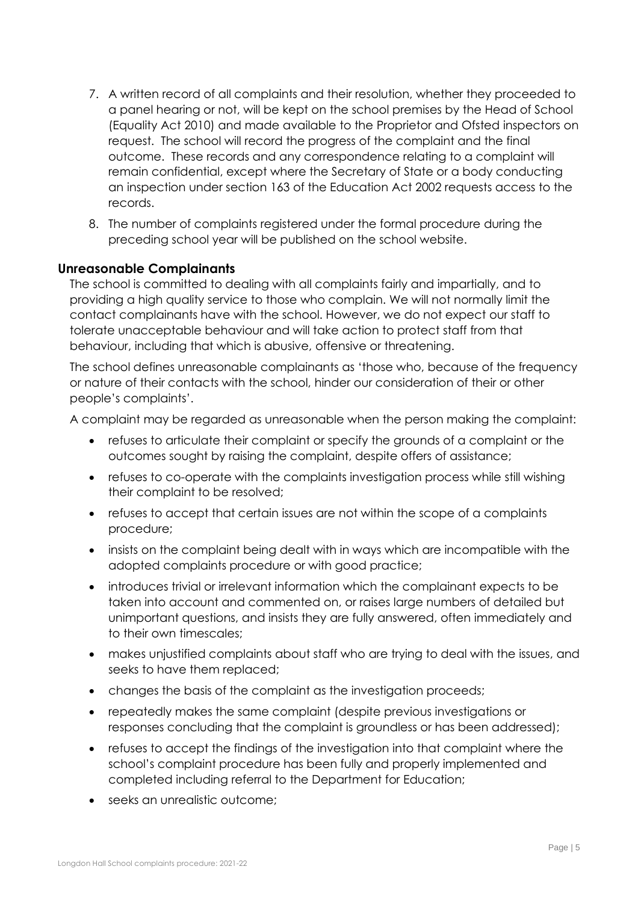- 7. A written record of all complaints and their resolution, whether they proceeded to a panel hearing or not, will be kept on the school premises by the Head of School (Equality Act 2010) and made available to the Proprietor and Ofsted inspectors on request. The school will record the progress of the complaint and the final outcome. These records and any correspondence relating to a complaint will remain confidential, except where the Secretary of State or a body conducting an inspection under section 163 of the Education Act 2002 requests access to the records.
- 8. The number of complaints registered under the formal procedure during the preceding school year will be published on the school website.

#### <span id="page-4-0"></span>**Unreasonable Complainants**

The school is committed to dealing with all complaints fairly and impartially, and to providing a high quality service to those who complain. We will not normally limit the contact complainants have with the school. However, we do not expect our staff to tolerate unacceptable behaviour and will take action to protect staff from that behaviour, including that which is abusive, offensive or threatening.

The school defines unreasonable complainants as 'those who, because of the frequency or nature of their contacts with the school, hinder our consideration of their or other people's complaints'.

A complaint may be regarded as unreasonable when the person making the complaint:

- refuses to articulate their complaint or specify the grounds of a complaint or the outcomes sought by raising the complaint, despite offers of assistance;
- refuses to co-operate with the complaints investigation process while still wishing their complaint to be resolved;
- refuses to accept that certain issues are not within the scope of a complaints procedure;
- insists on the complaint being dealt with in ways which are incompatible with the adopted complaints procedure or with good practice;
- introduces trivial or irrelevant information which the complainant expects to be taken into account and commented on, or raises large numbers of detailed but unimportant questions, and insists they are fully answered, often immediately and to their own timescales;
- makes unjustified complaints about staff who are trying to deal with the issues, and seeks to have them replaced;
- changes the basis of the complaint as the investigation proceeds;
- repeatedly makes the same complaint (despite previous investigations or responses concluding that the complaint is groundless or has been addressed);
- refuses to accept the findings of the investigation into that complaint where the school's complaint procedure has been fully and properly implemented and completed including referral to the Department for Education;
- seeks an unrealistic outcome;